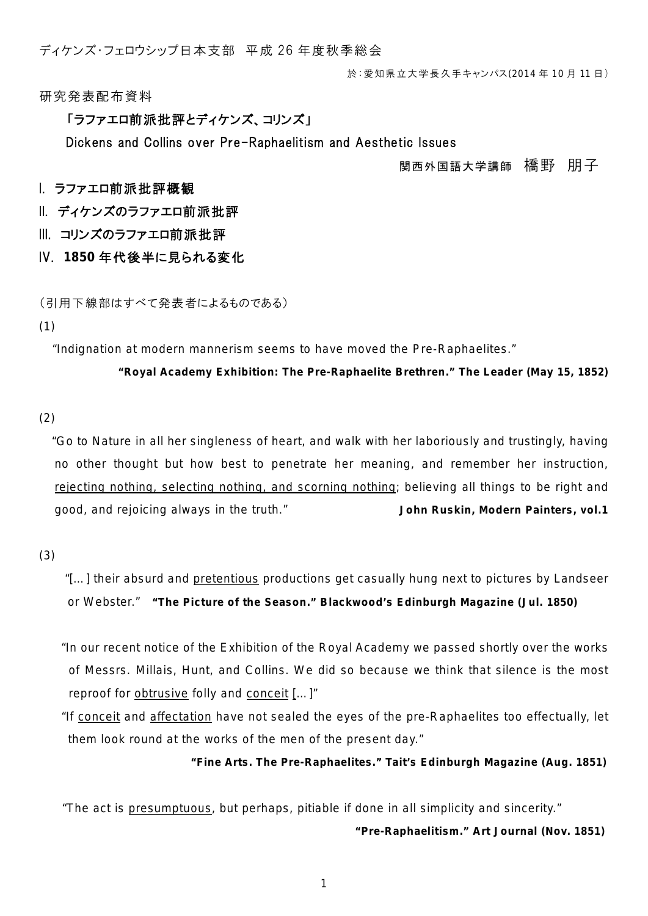ディケンズ・フェロウシップ日本支部 平成 26 年度秋季総会

於:愛知県立大学長久手キャンパス(2014 年 10 月 11 日)

研究発表配布資料

### 「ラファエロ前派批評とディケンズ、コリンズ」

Dickens and Collins over Pre-Raphaelitism and Aesthetic Issues

### 関西外国語大学講師 橋野 朋子

## I. ラファエロ前派批評概観

II. ディケンズのラファエロ前派批評

III. コリンズのラファエロ前派批評

IV. **1850** 年代後半に見られる変化

(引用下線部はすべて発表者によるものである)

#### (1)

"Indignation at modern mannerism seems to have moved the Pre-Raphaelites."

### **"Royal Academy Exhibition: The Pre-Raphaelite Brethren."** *The Leader* **(May 15, 1852)**

## (2)

"Go to Nature in all her singleness of heart, and walk with her laboriously and trustingly, having no other thought but how best to penetrate her meaning, and remember her instruction, rejecting nothing, selecting nothing, and scorning nothing; believing all things to be right and good, and rejoicing always in the truth." **John Ruskin,** *Modern Painters***, vol.1**

### (3)

 "[…] their absurd and pretentious productions get casually hung next to pictures by Landseer or Webster." **"The Picture of the Season."** *Blackwood's Edinburgh Magazine* **(Jul. 1850)**

- "In our recent notice of the Exhibition of the Royal Academy we passed shortly over the works of Messrs. Millais, Hunt, and Collins. We did so because we think that silence is the most reproof for obtrusive folly and conceit […]"
- "If conceit and affectation have not sealed the eyes of the pre-Raphaelites too effectually, let them look round at the works of the men of the present day."

**"Fine Arts. The Pre-Raphaelites."** *Tait's Edinburgh Magazine* **(Aug. 1851)**

"The act is presumptuous, but perhaps, pitiable if done in all *simplicity* and sincerity."

**"Pre-Raphaelitism."** *Art Journal* **(Nov. 1851)**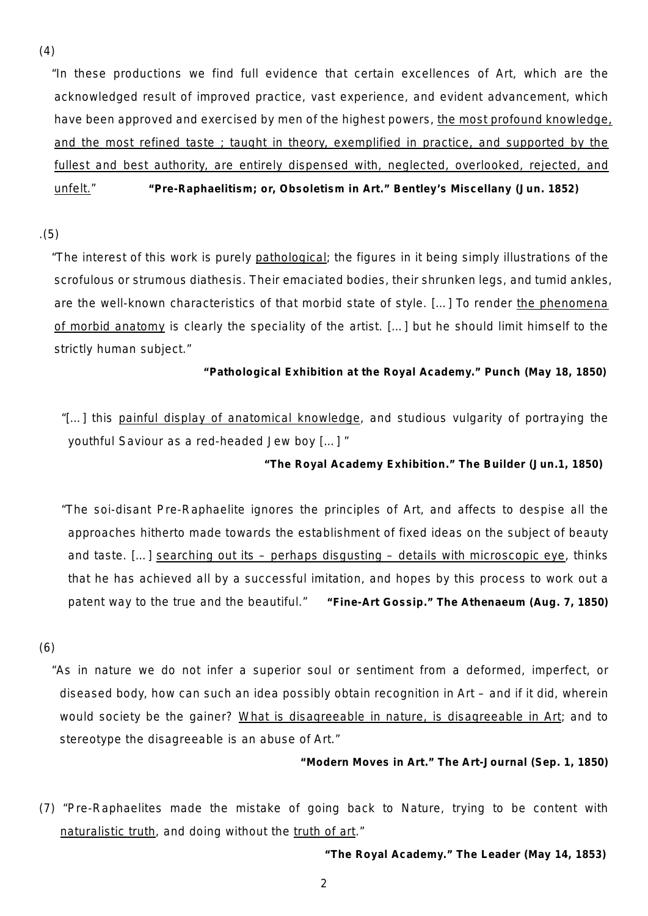(4)

"In these productions we find full evidence that certain excellences of Art, which are the acknowledged result of improved practice, vast experience, and evident advancement, which have been approved and exercised by men of the highest powers, the most profound knowledge, and the most refined taste ; taught in theory, exemplified in practice, and supported by the fullest and best authority, are entirely dispensed with, neglected, overlooked, rejected, and unfelt." **"Pre-Raphaelitism; or, Obsoletism in Art."** *Bentley's Miscellany* **(Jun. 1852)**

.(5)

"The interest of this work is purely pathological; the figures in it being simply illustrations of the scrofulous or strumous diathesis. Their emaciated bodies, their shrunken legs, and tumid ankles, are the well-known characteristics of that morbid state of style. […] To render the phenomena of morbid anatomy is clearly the speciality of the artist. […] but he should limit himself to the strictly human subject."

**"Pathological Exhibition at the Royal Academy."** *Punch* **(May 18, 1850)**

"[…] this painful display of anatomical knowledge, and studious vulgarity of portraying the youthful Saviour as a red-headed Jew boy […] "

**"The Royal Academy Exhibition."** *The Builder* **(Jun.1, 1850)**

"The soi-disant Pre-Raphaelite ignores the principles of Art, and affects to despise all the approaches hitherto made towards the establishment of fixed ideas on the subject of beauty and taste. […] searching out its – perhaps disgusting – details with microscopic eye, thinks that he has achieved all by a successful imitation, and hopes by this process to work out a patent way to the true and the beautiful." **"Fine-Art Gossip."** *The Athenaeum* **(Aug. 7, 1850)**

(6)

"As in nature we do not infer a superior soul or sentiment from a deformed, imperfect, or diseased body, how can such an idea possibly obtain recognition in Art – and if it did, wherein would society be the gainer? What is disagreeable in nature, is disagreeable in Art; and to stereotype the disagreeable is an abuse of Art."

**"Modern Moves in Art."** *The Art-Journal* **(Sep. 1, 1850)**

(7) "Pre-Raphaelites made the mistake of going back to Nature, trying to be content with naturalistic truth, and doing without the truth of art."

**"The Royal Academy."** *The Leader* **(May 14, 1853)**

2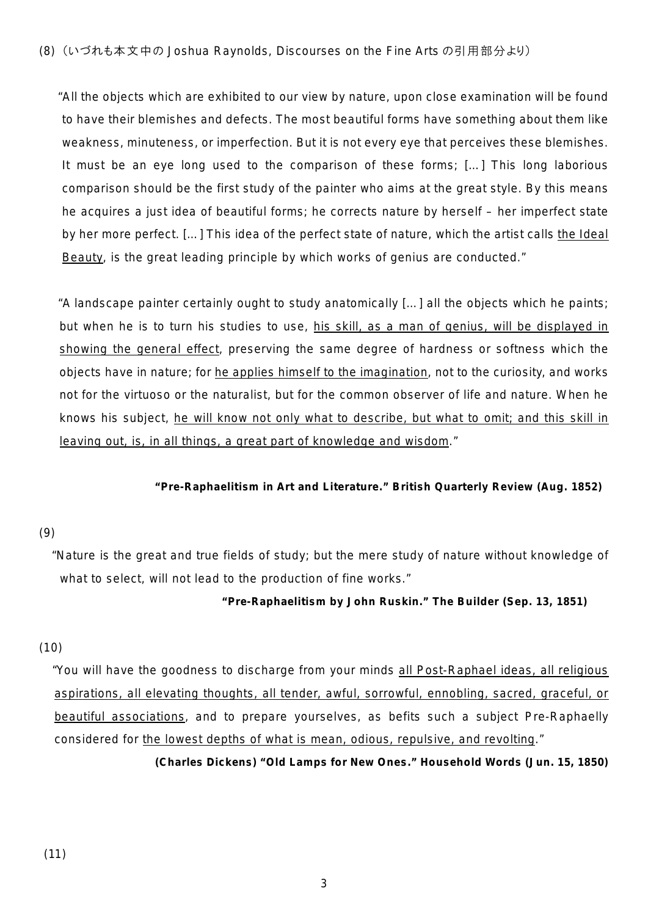"All the objects which are exhibited to our view by nature, upon close examination will be found to have their blemishes and defects. The most beautiful forms have something about them like weakness, minuteness, or imperfection. But it is not every eye that perceives these blemishes. It must be an eye long used to the comparison of these forms; […] This long laborious comparison should be the first study of the painter who aims at the great style. By this means he acquires a just idea of beautiful forms; he corrects nature by herself – her imperfect state by her more perfect. […] This idea of the perfect state of nature, which the artist calls the Ideal Beauty, is the great leading principle by which works of genius are conducted."

"A landscape painter certainly ought to study anatomically […] all the objects which he paints; but when he is to turn his studies to use, his skill, as a man of genius, will be displayed in showing the general effect, preserving the same degree of hardness or softness which the objects have in nature; for he applies himself to the imagination, not to the curiosity, and works not for the virtuoso or the naturalist, but for the common observer of life and nature. When he knows his subject, he will know not only what to describe, but what to omit; and this skill in leaving out, is, in all things, a great part of knowledge and wisdom."

### **"Pre-Raphaelitism in Art and Literature."** *British Quarterly Review* **(Aug. 1852)**

# (9)

"Nature is the great and true fields of study; but the mere study of nature without knowledge of what to select, will not lead to the production of fine works."

### **"***Pre-Raphaelitism* **by John Ruskin."** *The Builder* **(Sep. 13, 1851)**

# (10)

"You will have the goodness to discharge from your minds all Post-Raphael ideas, all religious aspirations, all elevating thoughts, all tender, awful, sorrowful, ennobling, sacred, graceful, or beautiful associations, and to prepare yourselves, as befits such a subject Pre-Raphaelly considered for the lowest depths of what is mean, odious, repulsive, and revolting."

**(Charles Dickens) "Old Lamps for New Ones."** *Household Words* **(Jun. 15, 1850)**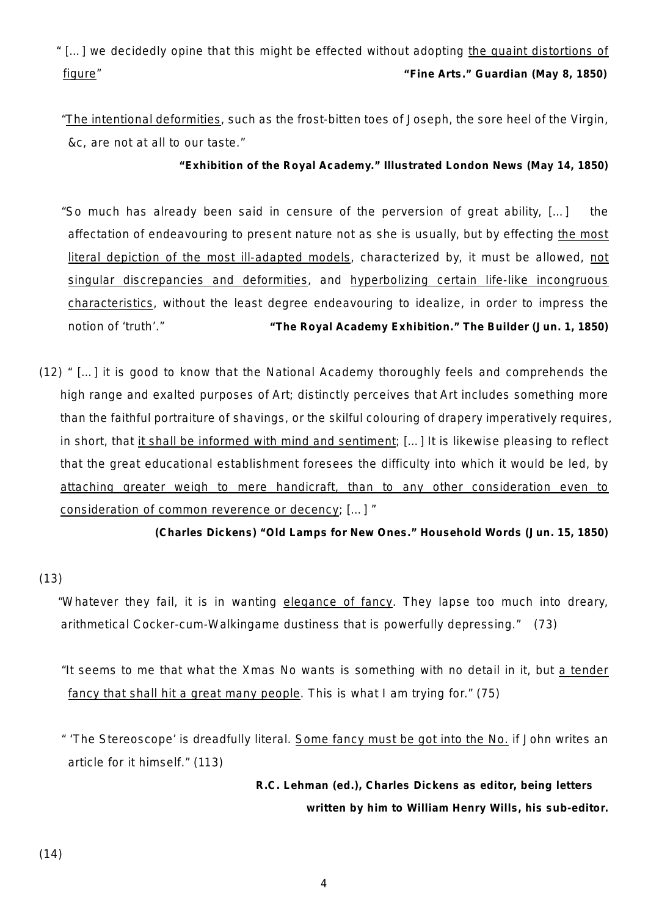" […] we decidedly opine that this might be effected without adopting the quaint distortions of figure" **"Fine Arts."** *Guardian* **(May 8, 1850)**

"The intentional deformities, such as the frost-bitten toes of Joseph, the sore heel of the Virgin, &c, are not at all to our taste."

**"Exhibition of the Royal Academy."** *Illustrated London News* **(May 14, 1850)**

"So much has already been said in censure of the perversion of great ability, […] the affectation of endeavouring to present nature not as she is usually, but by effecting the most literal depiction of the most ill-adapted models, characterized by, it must be allowed, not singular discrepancies and deformities, and hyperbolizing certain life-like incongruous characteristics, without the least degree endeavouring to idealize, in order to impress the notion of 'truth'." **"The Royal Academy Exhibition."** *The Builder* **(Jun. 1, 1850)**

(12) " […] it is good to know that the National Academy thoroughly feels and comprehends the high range and exalted purposes of Art; distinctly perceives that Art includes something more than the faithful portraiture of shavings, or the skilful colouring of drapery imperatively requires, in short, that it shall be informed with mind and sentiment; [...] It is likewise pleasing to reflect that the great educational establishment foresees the difficulty into which it would be led, by attaching greater weigh to mere handicraft, than to any other consideration even to consideration of common reverence or decency; […] "

**(Charles Dickens) "Old Lamps for New Ones."** *Household Words* **(Jun. 15, 1850)**

# (13)

"Whatever they fail, it is in wanting elegance of fancy. They lapse too much into dreary, arithmetical Cocker-cum-Walkingame dustiness that is powerfully depressing." (73)

"It seems to me that what the Xmas No wants is something with no detail in it, but a tender fancy that shall hit a great many people. This is what I am trying for." (75)

" 'The Stereoscope' is dreadfully literal. Some fancy must be got into the No. if John writes an article for it himself." (113)

> **R.C. Lehman (ed.),** *Charles Dickens as editor, being letters written by him to William Henry Wills, his sub-editor.*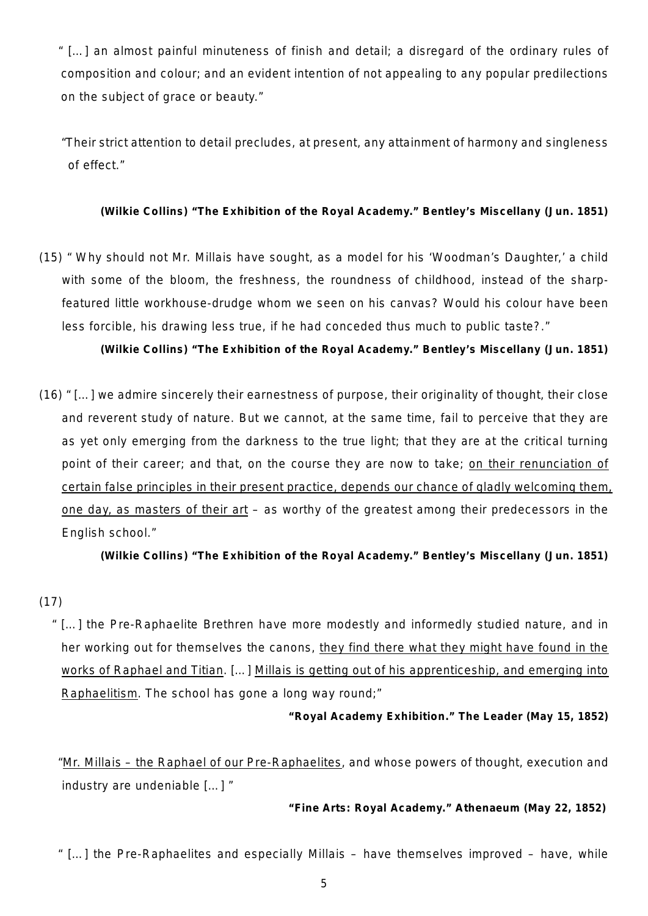" […] an almost painful minuteness of finish and detail; a disregard of the ordinary rules of composition and colour; and an evident intention of not appealing to any popular predilections on the subject of grace or beauty."

"Their strict attention to detail precludes, at present, any attainment of harmony and singleness of effect."

### **(Wilkie Collins) "The Exhibition of the Royal Academy."** *Bentley's Miscellany* **(Jun. 1851)**

(15) " Why should not Mr. Millais have sought, as a model for his 'Woodman's Daughter,' a child with some of the bloom, the freshness, the roundness of childhood, instead of the sharpfeatured little workhouse-drudge whom we seen on his canvas? Would his colour have been less forcible, his drawing less true, if he had conceded thus much to public taste?."

**(Wilkie Collins) "The Exhibition of the Royal Academy."** *Bentley's Miscellany* **(Jun. 1851)**

(16) " […] we admire sincerely their earnestness of purpose, their originality of thought, their close and reverent study of nature. But we cannot, at the same time, fail to perceive that they are as yet only emerging from the darkness to the true light; that they are at the critical turning point of their career; and that, on the course they are now to take; on their renunciation of certain false principles in their present practice, depends our chance of gladly welcoming them, one day, as masters of their art – as worthy of the greatest among their predecessors in the English school."

**(Wilkie Collins) "The Exhibition of the Royal Academy."** *Bentley's Miscellany* **(Jun. 1851)**

# (17)

" […] the Pre-Raphaelite Brethren have more modestly and informedly studied nature, and in her working out for themselves the canons, they find there what they might have found in the works of Raphael and Titian. […] Millais is getting out of his apprenticeship, and emerging into Raphaelitism. The school has gone a long way round;"

**"Royal Academy Exhibition."** *The Leader* **(May 15, 1852)**

"Mr. Millais - the Raphael of our Pre-Raphaelites, and whose powers of thought, execution and industry are undeniable […] "

**"Fine Arts: Royal Academy."** *Athenaeum* **(May 22, 1852)**

" […] the Pre-Raphaelites and especially Millais – have themselves improved – have, while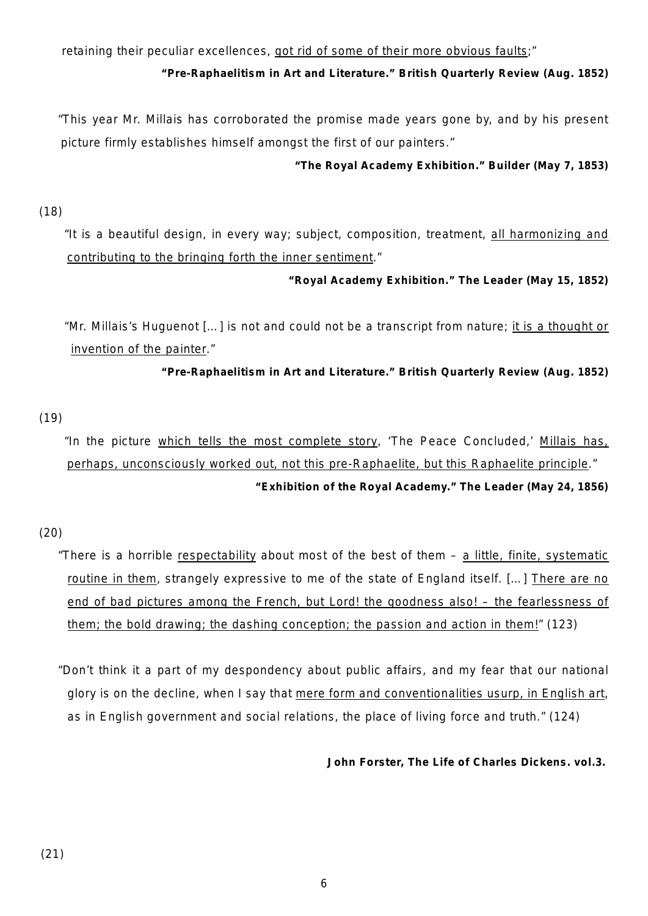retaining their peculiar excellences, got rid of some of their more obvious faults;"

# **"Pre-Raphaelitism in Art and Literature."** *British Quarterly Review* **(Aug. 1852)**

"This year Mr. Millais has corroborated the promise made years gone by, and by his present picture firmly establishes himself amongst the first of our painters."

## **"The Royal Academy Exhibition."** *Builder* **(May 7, 1853)**

(18)

"It is a beautiful design, in every way; subject, composition, treatment, all harmonizing and contributing to the bringing forth the inner sentiment."

## **"Royal Academy Exhibition."** *The Leader* **(May 15, 1852)**

"Mr. Millais's Huguenot […] is not and could not be a transcript from nature; it is a thought or invention of the painter."

**"Pre-Raphaelitism in Art and Literature."** *British Quarterly Review* **(Aug. 1852)**

(19)

"In the picture which tells the most complete story, 'The Peace Concluded,' Millais has, perhaps, unconsciously worked out, not this pre-Raphaelite, but this Raphaelite principle."

# **"Exhibition of the Royal Academy."** *The Leader* **(May 24, 1856)**

# (20)

"There is a horrible respectability about most of the best of them – a little, finite, systematic routine in them, strangely expressive to me of the state of England itself. [...] There are no end of bad pictures among the French, but Lord! the goodness also! – the fearlessness of them; the bold drawing; the dashing conception; the passion and action in them!" (123)

"Don't think it a part of my despondency about public affairs, and my fear that our national glory is on the decline, when I say that mere form and conventionalities usurp, in English art, as in English government and social relations, the place of living force and truth." (124)

**John Forster,** *The Life of Charles Dickens.* **vol.3.**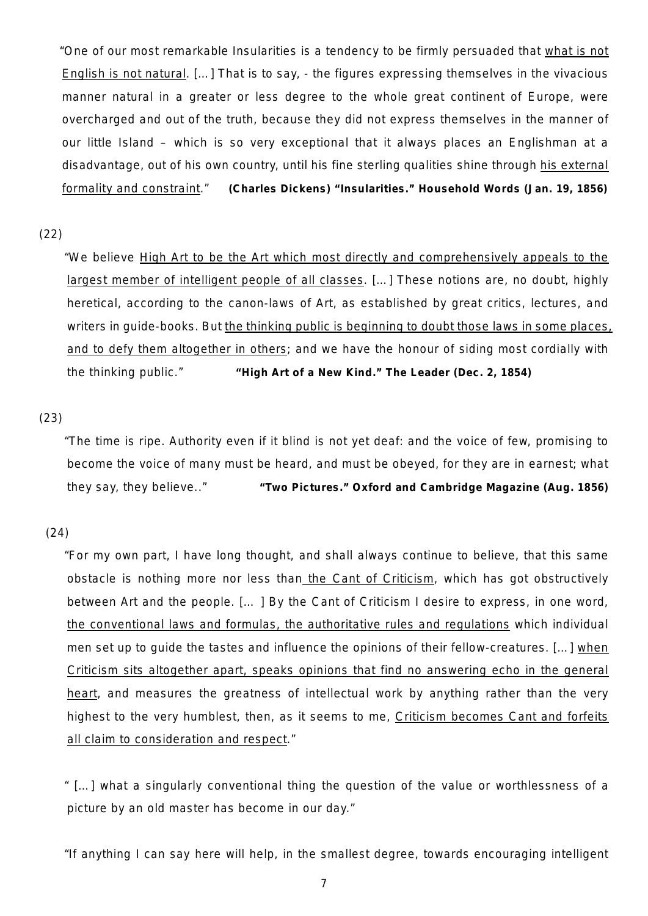"One of our most remarkable Insularities is a tendency to be firmly persuaded that what is not English is not natural. […] That is to say, - the figures expressing themselves in the vivacious manner natural in a greater or less degree to the whole great continent of Europe, were overcharged and out of the truth, because they did not express themselves in the manner of our little Island – which is so very exceptional that it always places an Englishman at a disadvantage, out of his own country, until his fine sterling qualities shine through his external formality and constraint." **(Charles Dickens) "Insularities."** *Household Words* **(Jan. 19, 1856)**

### (22)

"We believe High Art to be the Art which most directly and comprehensively appeals to the largest member of intelligent people of all classes. […] These notions are, no doubt, highly heretical, according to the canon-laws of Art, as established by great critics, lectures, and writers in guide-books. But the thinking public is beginning to doubt those laws in some places, and to defy them altogether in others; and we have the honour of siding most cordially with the thinking public." **"High Art of a New Kind."** *The Leader* **(Dec. 2, 1854)**

### (23)

"The time is ripe. Authority even if it blind is not yet deaf: and the voice of few, promising to become the voice of many must be heard, and must be obeyed, for they are in earnest; what they say, they believe.." **"Two Pictures."** *Oxford and Cambridge Magazine* **(Aug. 1856)**

## (24)

"For my own part, I have long thought, and shall always continue to believe, that this same obstacle is nothing more nor less than the Cant of Criticism, which has got obstructively between Art and the people. [… ] By the Cant of Criticism I desire to express, in one word, the conventional laws and formulas, the authoritative rules and regulations which individual men set up to guide the tastes and influence the opinions of their fellow-creatures. [...] when Criticism sits altogether apart, speaks opinions that find no answering echo in the general heart, and measures the greatness of intellectual work by anything rather than the very highest to the very humblest, then, as it seems to me, Criticism becomes Cant and forfeits all claim to consideration and respect."

" […] what a singularly conventional thing the question of the value or worthlessness of a picture by an old master has become in our day."

"If anything I can say here will help, in the smallest degree, towards encouraging intelligent

7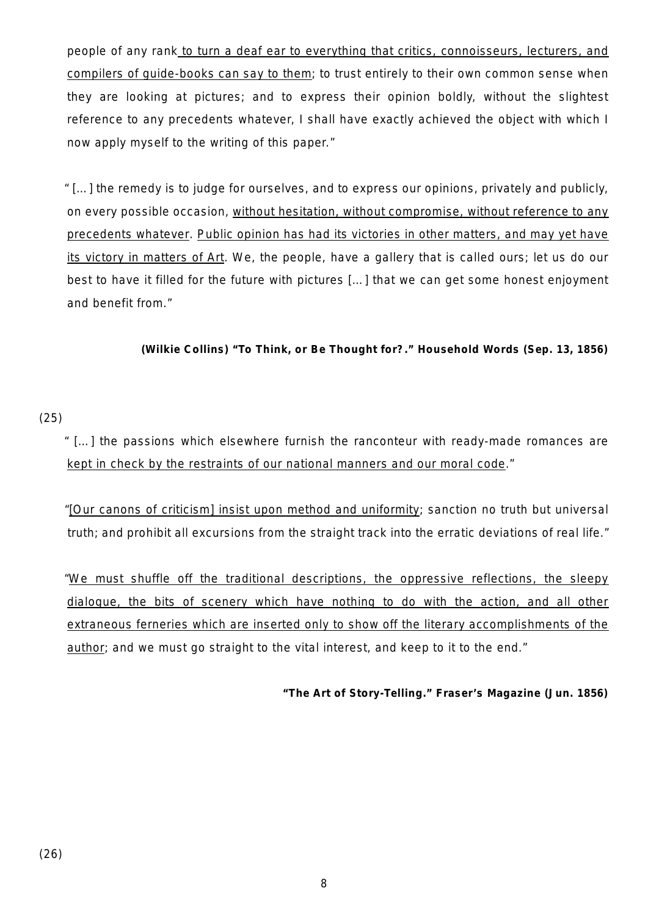people of any rank to turn a deaf ear to everything that critics, connoisseurs, lecturers, and compilers of guide-books can say to them; to trust entirely to their own common sense when they are looking at pictures; and to express their opinion boldly, without the slightest reference to any precedents whatever, I shall have exactly achieved the object with which I now apply myself to the writing of this paper."

" […] the remedy is to judge for ourselves, and to express our opinions, privately and publicly, on every possible occasion, without hesitation, without compromise, without reference to any precedents whatever. Public opinion has had its victories in other matters, and may yet have its victory in matters of Art. We, the people, have a gallery that is called ours; let us do our best to have it filled for the future with pictures […] that we can get some honest enjoyment and benefit from."

**(Wilkie Collins) "To Think, or Be Thought for?."** *Household Words* **(Sep. 13, 1856)**

# (25)

" […] the passions which elsewhere furnish the ranconteur with ready-made romances are kept in check by the restraints of our national manners and our moral code."

"[Our canons of criticism] insist upon method and uniformity; sanction no truth but universal truth; and prohibit all excursions from the straight track into the erratic deviations of real life."

"We must shuffle off the traditional descriptions, the oppressive reflections, the sleepy dialogue, the bits of scenery which have nothing to do with the action, and all other extraneous ferneries which are inserted only to show off the literary accomplishments of the author; and we must go straight to the vital interest, and keep to it to the end."

**"The Art of Story-Telling."** *Fraser's Magazine* **(Jun. 1856)**